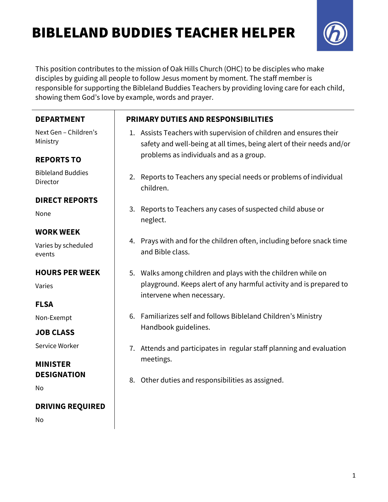# BIBLELAND BUDDIES TEACHER HELPER



This position contributes to the mission of Oak Hills Church (OHC) to be disciples who make disciples by guiding all people to follow Jesus moment by moment. The staff member is responsible for supporting the Bibleland Buddies Teachers by providing loving care for each child, showing them God's love by example, words and prayer.

| <b>DEPARTMENT</b>                    | <b>PRIMARY DUTIES AND RESPONSIBILITIES</b> |                                                                                                                                             |
|--------------------------------------|--------------------------------------------|---------------------------------------------------------------------------------------------------------------------------------------------|
| Next Gen - Children's<br>Ministry    |                                            | 1. Assists Teachers with supervision of children and ensures their<br>safety and well-being at all times, being alert of their needs and/or |
| <b>REPORTS TO</b>                    |                                            | problems as individuals and as a group.                                                                                                     |
| <b>Bibleland Buddies</b><br>Director | children.                                  | 2. Reports to Teachers any special needs or problems of individual                                                                          |
| <b>DIRECT REPORTS</b>                |                                            |                                                                                                                                             |
| None                                 | 3.<br>neglect.                             | Reports to Teachers any cases of suspected child abuse or                                                                                   |
| <b>WORK WEEK</b>                     |                                            |                                                                                                                                             |
| Varies by scheduled<br>events        | and Bible class.                           | 4. Prays with and for the children often, including before snack time                                                                       |
| <b>HOURS PER WEEK</b>                |                                            | 5. Walks among children and plays with the children while on                                                                                |
| Varies                               |                                            | playground. Keeps alert of any harmful activity and is prepared to<br>intervene when necessary.                                             |
| <b>FLSA</b>                          |                                            |                                                                                                                                             |
| Non-Exempt                           |                                            | 6. Familiarizes self and follows Bibleland Children's Ministry                                                                              |
| <b>JOB CLASS</b>                     | Handbook guidelines.                       |                                                                                                                                             |
| Service Worker                       |                                            | 7. Attends and participates in regular staff planning and evaluation                                                                        |
| <b>MINISTER</b>                      | meetings.                                  |                                                                                                                                             |
| <b>DESIGNATION</b>                   | 8.                                         | Other duties and responsibilities as assigned.                                                                                              |
| No                                   |                                            |                                                                                                                                             |
| <b>DRIVING REQUIRED</b>              |                                            |                                                                                                                                             |
| No                                   |                                            |                                                                                                                                             |
|                                      |                                            |                                                                                                                                             |
|                                      |                                            |                                                                                                                                             |